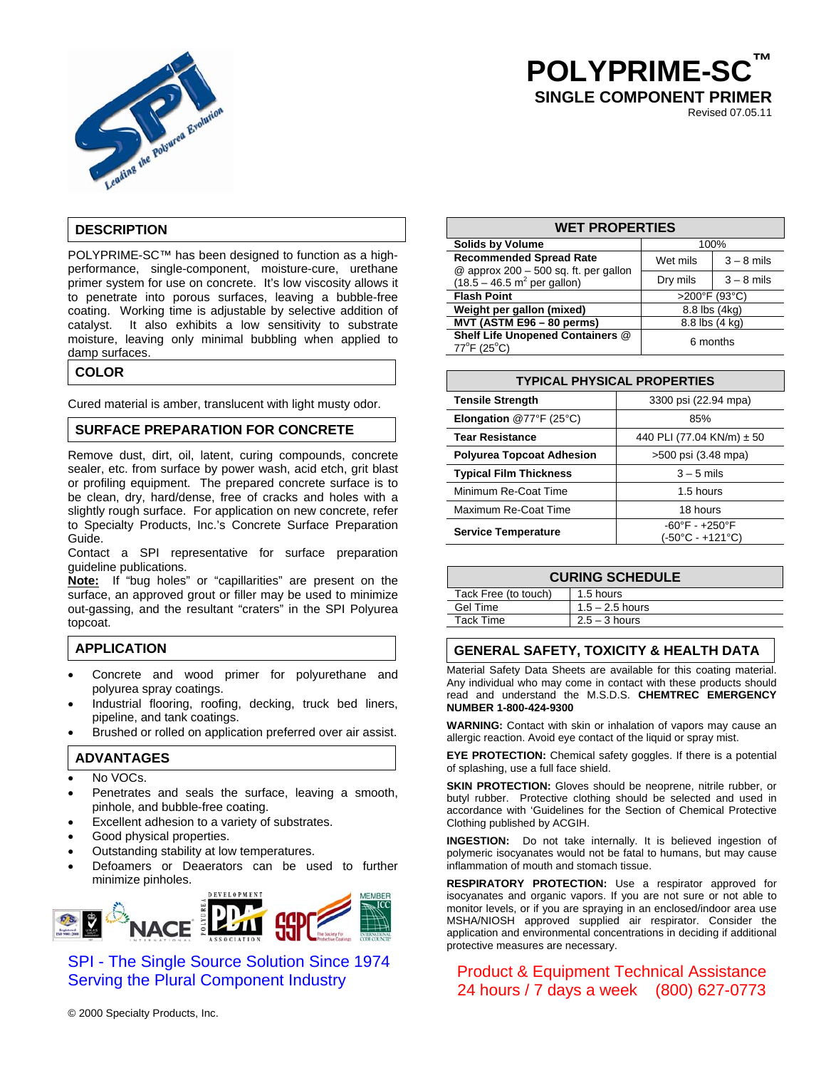

# **POLYPRIME-S SINGLE COMPONENT PRIMER**

Revised 07.05.11

### **DESCRIPTION**

POLYPRIME-SC™ has been designed to function as a highperformance, single-component, moisture-cure, urethane primer system for use on concrete. It's low viscosity allows it to penetrate into porous surfaces, leaving a bubble-free coating. Working time is adjustable by selective addition of catalyst. It also exhibits a low sensitivity to substrate moisture, leaving only minimal bubbling when applied to damp surfaces.

### **COLOR**

Cured material is amber, translucent with light musty odor.

### **SURFACE PREPARATION FOR CONCRETE**

Remove dust, dirt, oil, latent, curing compounds, concrete sealer, etc. from surface by power wash, acid etch, grit blast or profiling equipment. The prepared concrete surface is to be clean, dry, hard/dense, free of cracks and holes with a slightly rough surface. For application on new concrete, refer to Specialty Products, Inc.'s Concrete Surface Preparation Guide.

Contact a SPI representative for surface preparation guideline publications.

**Note:** If "bug holes" or "capillarities" are present on the surface, an approved grout or filler may be used to minimize out-gassing, and the resultant "craters" in the SPI Polyurea topcoat.

### **APPLICATION**

- Concrete and wood primer for polyurethane and polyurea spray coatings.
- Industrial flooring, roofing, decking, truck bed liners, pipeline, and tank coatings.
- Brushed or rolled on application preferred over air assist.

### **ADVANTAGES**

- No VOCs.
- Penetrates and seals the surface, leaving a smooth, pinhole, and bubble-free coating.
- Excellent adhesion to a variety of substrates.
- Good physical properties.
- Outstanding stability at low temperatures.
- Defoamers or Deaerators can be used to further minimize pinholes.



SPI - The Single Source Solution Since 1974 Serving the Plural Component Industry

© 2000 Specialty Products, Inc.

#### **WET PROPERTIES**

| <b>Solids by Volume</b>                                                   | 100%           |               |
|---------------------------------------------------------------------------|----------------|---------------|
| <b>Recommended Spread Rate</b><br>$@$ approx 200 - 500 sq. ft. per gallon | Wet mils       | $3 - 8$ mils  |
| $(18.5 - 46.5 \text{ m}^2 \text{ per gallon})$                            | Dry mils       | $3 - 8$ mils  |
| <b>Flash Point</b>                                                        | >200°F (93°C)  |               |
| Weight per gallon (mixed)                                                 |                | 8.8 lbs (4kg) |
| MVT (ASTM E96 - 80 perms)                                                 | 8.8 lbs (4 kg) |               |
| Shelf Life Unopened Containers @<br>$77^{\circ}$ F (25 $^{\circ}$ C)      | 6 months       |               |

## **TYPICAL PHYSICAL PROPERTIES**

| <b>Tensile Strength</b>          | 3300 psi (22.94 mpa)                               |  |
|----------------------------------|----------------------------------------------------|--|
| <b>Elongation @77°F (25°C)</b>   | 85%                                                |  |
| <b>Tear Resistance</b>           | 440 PLI (77.04 KN/m) ± 50                          |  |
| <b>Polyurea Topcoat Adhesion</b> | >500 psi (3.48 mpa)                                |  |
| <b>Typical Film Thickness</b>    | $3 - 5$ mils                                       |  |
| Minimum Re-Coat Time             | 1.5 hours                                          |  |
| Maximum Re-Coat Time             | 18 hours                                           |  |
| <b>Service Temperature</b>       | $-60^{\circ}F - +250^{\circ}F$<br>(-50°C - +121°C) |  |

### **CURING SCHEDULE**

| Tack Free (to touch) | 1.5 hours         |
|----------------------|-------------------|
| Gel Time             | $1.5 - 2.5$ hours |
| Tack Time            | $2.5 - 3$ hours   |

### **GENERAL SAFETY, TOXICITY & HEALTH DATA**

Material Safety Data Sheets are available for this coating material. Any individual who may come in contact with these products should read and understand the M.S.D.S. **CHEMTREC EMERGENCY NUMBER 1-800-424-9300** 

**WARNING:** Contact with skin or inhalation of vapors may cause an allergic reaction. Avoid eye contact of the liquid or spray mist.

**EYE PROTECTION:** Chemical safety goggles. If there is a potential of splashing, use a full face shield.

**SKIN PROTECTION:** Gloves should be neoprene, nitrile rubber, or butyl rubber. Protective clothing should be selected and used in accordance with 'Guidelines for the Section of Chemical Protective Clothing published by ACGIH.

**INGESTION:** Do not take internally. It is believed ingestion of polymeric isocyanates would not be fatal to humans, but may cause inflammation of mouth and stomach tissue.

**RESPIRATORY PROTECTION:** Use a respirator approved for isocyanates and organic vapors. If you are not sure or not able to monitor levels, or if you are spraying in an enclosed/indoor area use MSHA/NIOSH approved supplied air respirator. Consider the application and environmental concentrations in deciding if additional protective measures are necessary.

Product & Equipment Technical Assistance 24 hours / 7 days a week (800) 627-0773